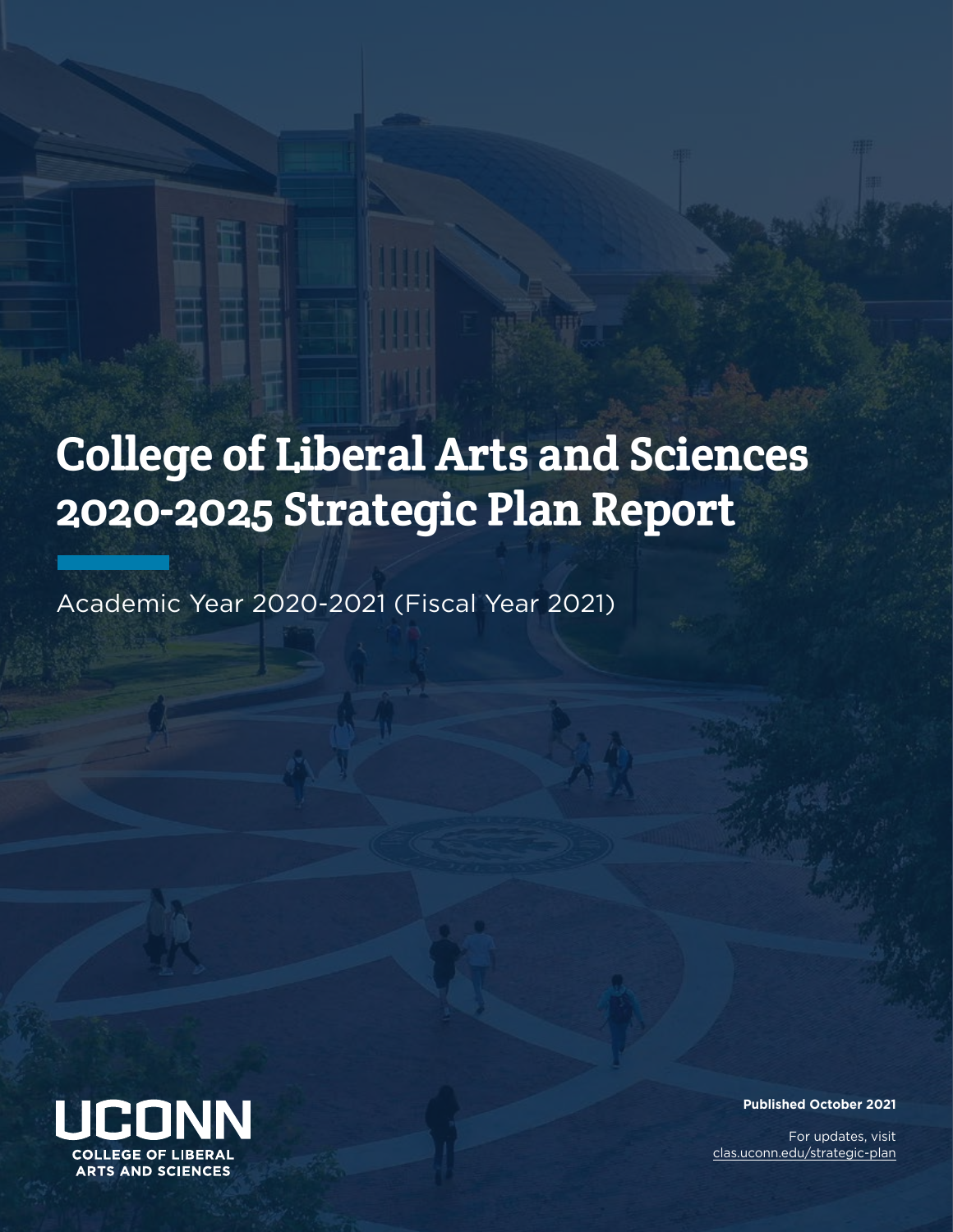# College of Liberal Arts and Sciences 2020-2025 Strategic Plan Report

Academic Year 2020-2021 (Fiscal Year 2021)



**Published October 2021** 

For updates, visit [clas.uconn.edu/strategic-plan](https://clas.uconn.edu/strategic-plan)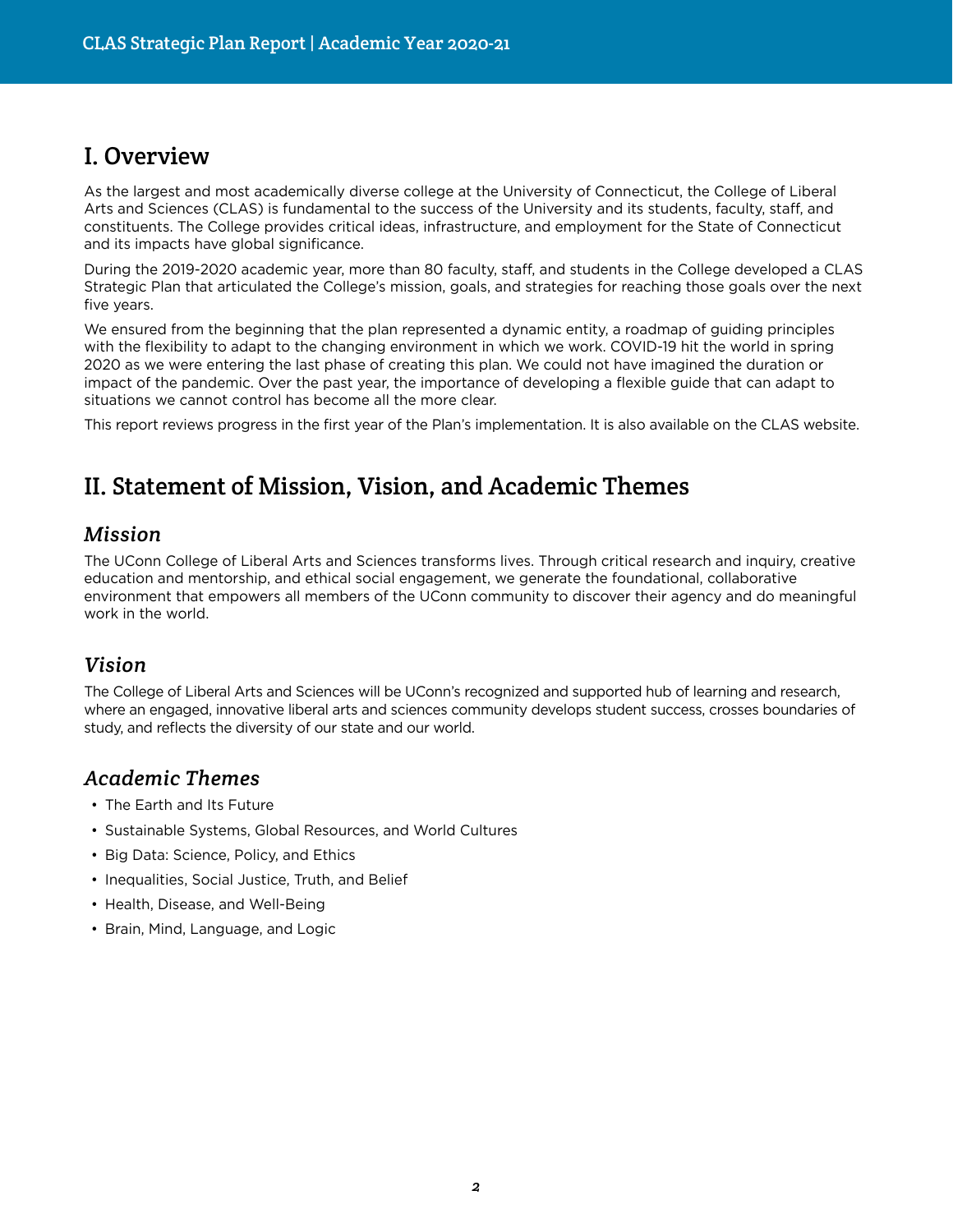# I. Overview

As the largest and most academically diverse college at the University of Connecticut, the College of Liberal Arts and Sciences (CLAS) is fundamental to the success of the University and its students, faculty, staff, and constituents. The College provides critical ideas, infrastructure, and employment for the State of Connecticut and its impacts have global significance.

During the 2019-2020 academic year, more than 80 faculty, staff, and students in the College developed a CLAS Strategic Plan that articulated the College's mission, goals, and strategies for reaching those goals over the next five years.

We ensured from the beginning that the plan represented a dynamic entity, a roadmap of guiding principles with the flexibility to adapt to the changing environment in which we work. COVID-19 hit the world in spring 2020 as we were entering the last phase of creating this plan. We could not have imagined the duration or impact of the pandemic. Over the past year, the importance of developing a flexible guide that can adapt to situations we cannot control has become all the more clear.

This report reviews progress in the first year of the Plan's implementation. It is also available on the CLAS website.

# II. Statement of Mission, Vision, and Academic Themes

## *Mission*

The UConn College of Liberal Arts and Sciences transforms lives. Through critical research and inquiry, creative education and mentorship, and ethical social engagement, we generate the foundational, collaborative environment that empowers all members of the UConn community to discover their agency and do meaningful work in the world.

# *Vision*

The College of Liberal Arts and Sciences will be UConn's recognized and supported hub of learning and research, where an engaged, innovative liberal arts and sciences community develops student success, crosses boundaries of study, and reflects the diversity of our state and our world.

# *Academic Themes*

- The Earth and Its Future
- Sustainable Systems, Global Resources, and World Cultures
- Big Data: Science, Policy, and Ethics
- Inequalities, Social Justice, Truth, and Belief
- Health, Disease, and Well-Being
- Brain, Mind, Language, and Logic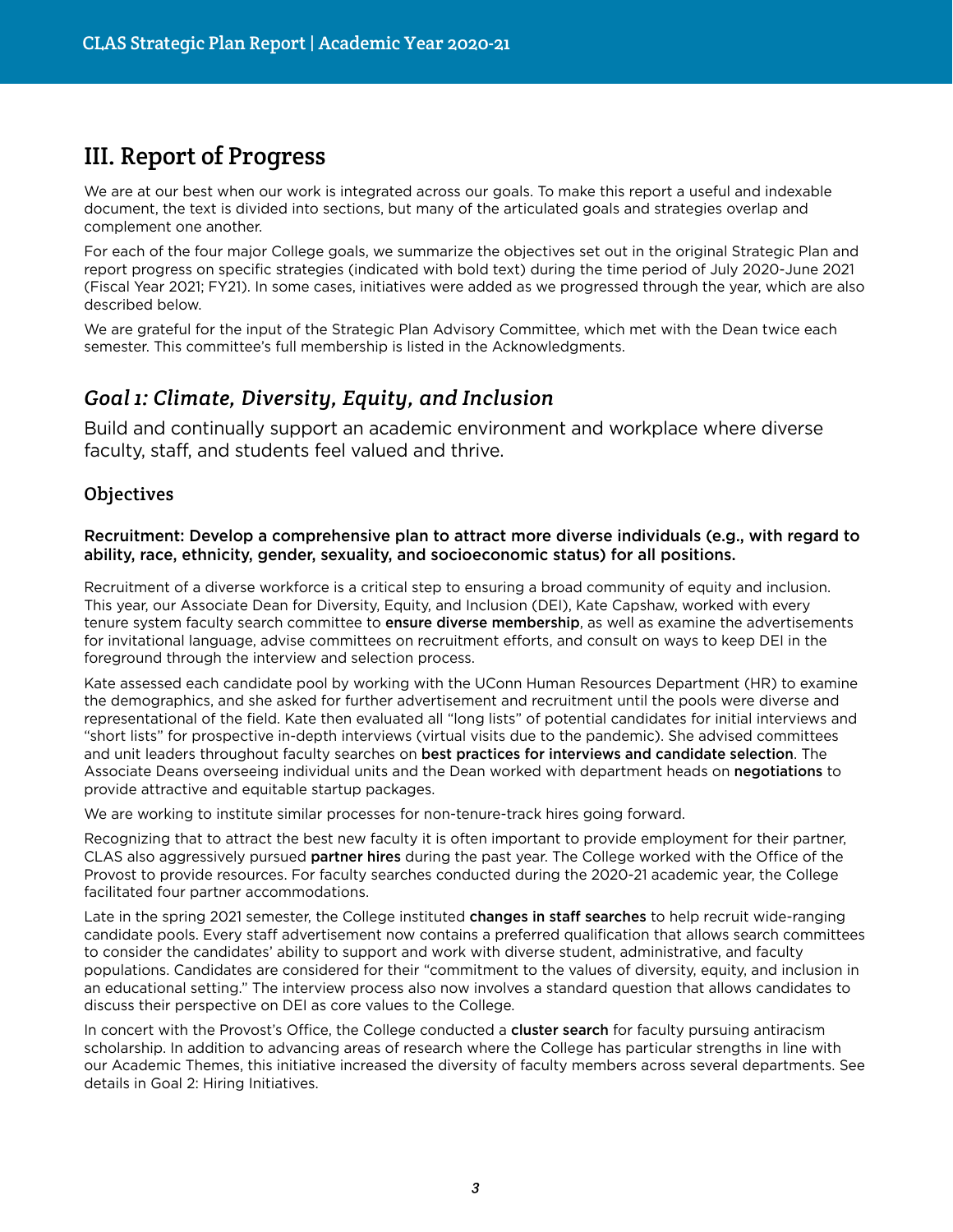# III. Report of Progress

We are at our best when our work is integrated across our goals. To make this report a useful and indexable document, the text is divided into sections, but many of the articulated goals and strategies overlap and complement one another.

For each of the four major College goals, we summarize the objectives set out in the original Strategic Plan and report progress on specific strategies (indicated with bold text) during the time period of July 2020-June 2021 (Fiscal Year 2021; FY21). In some cases, initiatives were added as we progressed through the year, which are also described below.

We are grateful for the input of the Strategic Plan Advisory Committee, which met with the Dean twice each semester. This committee's full membership is listed in the Acknowledgments.

# *Goal 1: Climate, Diversity, Equity, and Inclusion*

Build and continually support an academic environment and workplace where diverse faculty, staff, and students feel valued and thrive.

#### **Objectives**

#### Recruitment: Develop a comprehensive plan to attract more diverse individuals (e.g., with regard to ability, race, ethnicity, gender, sexuality, and socioeconomic status) for all positions.

Recruitment of a diverse workforce is a critical step to ensuring a broad community of equity and inclusion. This year, our Associate Dean for Diversity, Equity, and Inclusion (DEI), Kate Capshaw, worked with every tenure system faculty search committee to ensure diverse membership, as well as examine the advertisements for invitational language, advise committees on recruitment efforts, and consult on ways to keep DEI in the foreground through the interview and selection process.

Kate assessed each candidate pool by working with the UConn Human Resources Department (HR) to examine the demographics, and she asked for further advertisement and recruitment until the pools were diverse and representational of the field. Kate then evaluated all "long lists" of potential candidates for initial interviews and "short lists" for prospective in-depth interviews (virtual visits due to the pandemic). She advised committees and unit leaders throughout faculty searches on best practices for interviews and candidate selection. The Associate Deans overseeing individual units and the Dean worked with department heads on negotiations to provide attractive and equitable startup packages.

We are working to institute similar processes for non-tenure-track hires going forward.

Recognizing that to attract the best new faculty it is often important to provide employment for their partner, CLAS also aggressively pursued partner hires during the past year. The College worked with the Office of the Provost to provide resources. For faculty searches conducted during the 2020-21 academic year, the College facilitated four partner accommodations.

Late in the spring 2021 semester, the College instituted changes in staff searches to help recruit wide-ranging candidate pools. Every staff advertisement now contains a preferred qualification that allows search committees to consider the candidates' ability to support and work with diverse student, administrative, and faculty populations. Candidates are considered for their "commitment to the values of diversity, equity, and inclusion in an educational setting." The interview process also now involves a standard question that allows candidates to discuss their perspective on DEI as core values to the College.

In concert with the Provost's Office, the College conducted a **cluster search** for faculty pursuing antiracism scholarship. In addition to advancing areas of research where the College has particular strengths in line with our Academic Themes, this initiative increased the diversity of faculty members across several departments. See details in Goal 2: Hiring Initiatives.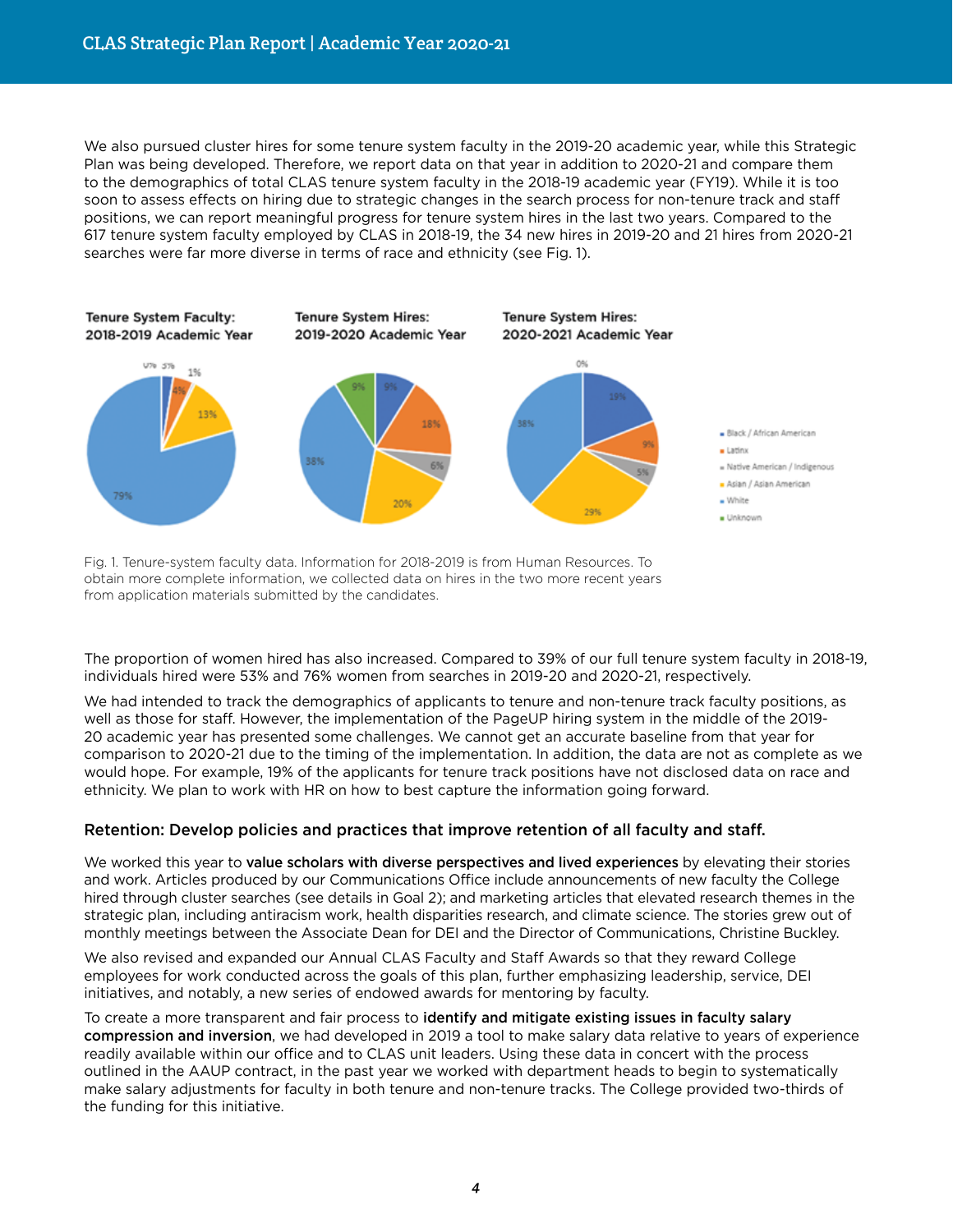We also pursued cluster hires for some tenure system faculty in the 2019-20 academic year, while this Strategic Plan was being developed. Therefore, we report data on that year in addition to 2020-21 and compare them to the demographics of total CLAS tenure system faculty in the 2018-19 academic year (FY19). While it is too soon to assess effects on hiring due to strategic changes in the search process for non-tenure track and staff positions, we can report meaningful progress for tenure system hires in the last two years. Compared to the 617 tenure system faculty employed by CLAS in 2018-19, the 34 new hires in 2019-20 and 21 hires from 2020-21 searches were far more diverse in terms of race and ethnicity (see Fig. 1).



Fig. 1. Tenure-system faculty data. Information for 2018-2019 is from Human Resources. To obtain more complete information, we collected data on hires in the two more recent years from application materials submitted by the candidates.

The proportion of women hired has also increased. Compared to 39% of our full tenure system faculty in 2018-19, individuals hired were 53% and 76% women from searches in 2019-20 and 2020-21, respectively.

We had intended to track the demographics of applicants to tenure and non-tenure track faculty positions, as well as those for staff. However, the implementation of the PageUP hiring system in the middle of the 2019- 20 academic year has presented some challenges. We cannot get an accurate baseline from that year for comparison to 2020-21 due to the timing of the implementation. In addition, the data are not as complete as we would hope. For example, 19% of the applicants for tenure track positions have not disclosed data on race and ethnicity. We plan to work with HR on how to best capture the information going forward.

#### Retention: Develop policies and practices that improve retention of all faculty and staff.

We worked this year to value scholars with diverse perspectives and lived experiences by elevating their stories and work. Articles produced by our Communications Office include announcements of new faculty the College hired through cluster searches (see details in Goal 2); and marketing articles that elevated research themes in the strategic plan, including antiracism work, health disparities research, and climate science. The stories grew out of monthly meetings between the Associate Dean for DEI and the Director of Communications, Christine Buckley.

We also revised and expanded our Annual CLAS Faculty and Staff Awards so that they reward College employees for work conducted across the goals of this plan, further emphasizing leadership, service, DEI initiatives, and notably, a new series of endowed awards for mentoring by faculty.

To create a more transparent and fair process to identify and mitigate existing issues in faculty salary compression and inversion, we had developed in 2019 a tool to make salary data relative to years of experience readily available within our office and to CLAS unit leaders. Using these data in concert with the process outlined in the AAUP contract, in the past year we worked with department heads to begin to systematically make salary adjustments for faculty in both tenure and non-tenure tracks. The College provided two-thirds of the funding for this initiative.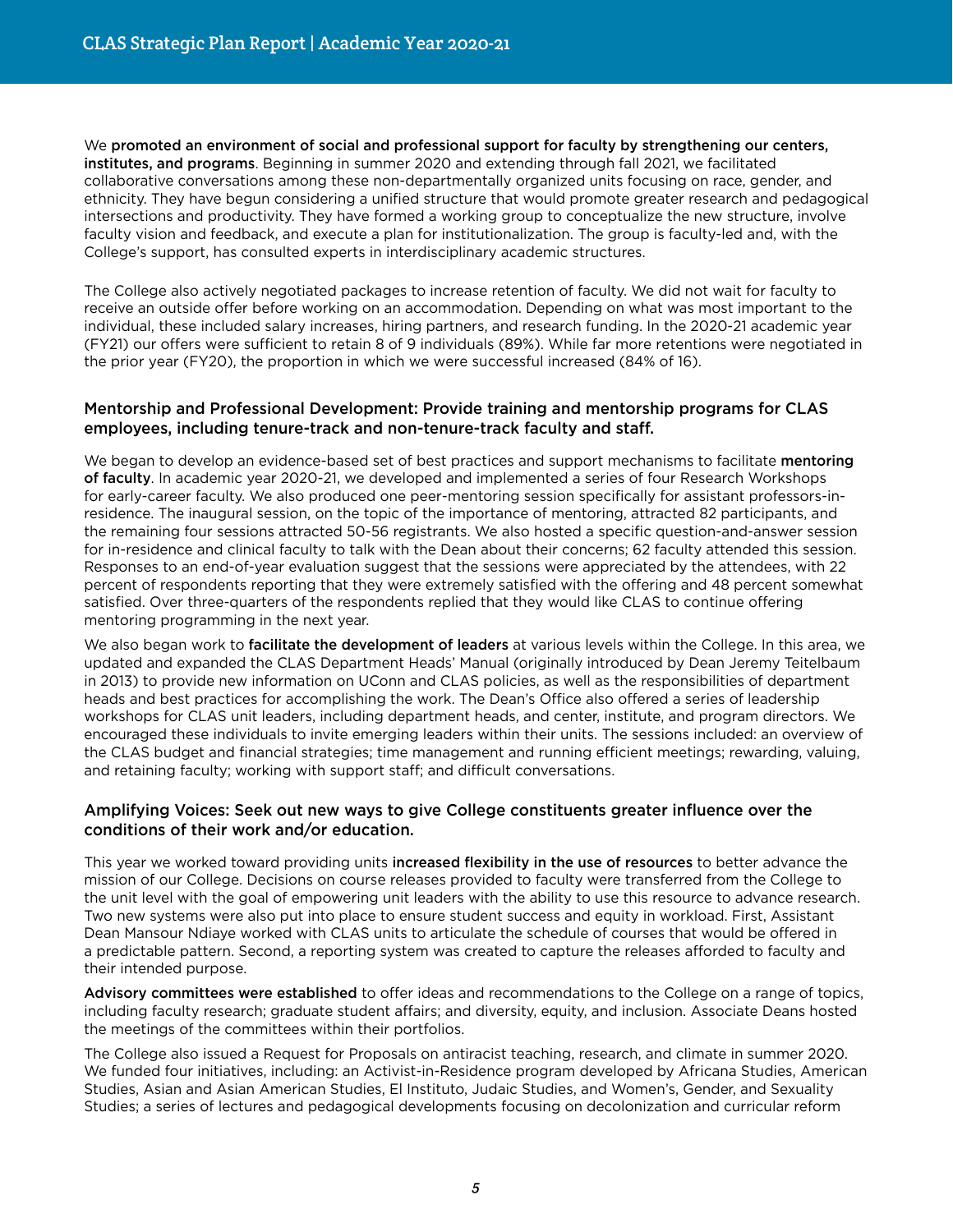We promoted an environment of social and professional support for faculty by strengthening our centers, institutes, and programs. Beginning in summer 2020 and extending through fall 2021, we facilitated collaborative conversations among these non-departmentally organized units focusing on race, gender, and ethnicity. They have begun considering a unified structure that would promote greater research and pedagogical intersections and productivity. They have formed a working group to conceptualize the new structure, involve faculty vision and feedback, and execute a plan for institutionalization. The group is faculty-led and, with the College's support, has consulted experts in interdisciplinary academic structures.

The College also actively negotiated packages to increase retention of faculty. We did not wait for faculty to receive an outside offer before working on an accommodation. Depending on what was most important to the individual, these included salary increases, hiring partners, and research funding. In the 2020-21 academic year (FY21) our offers were sufficient to retain 8 of 9 individuals (89%). While far more retentions were negotiated in the prior year (FY20), the proportion in which we were successful increased (84% of 16).

#### Mentorship and Professional Development: Provide training and mentorship programs for CLAS employees, including tenure-track and non-tenure-track faculty and staff.

We began to develop an evidence-based set of best practices and support mechanisms to facilitate mentoring of faculty. In academic year 2020-21, we developed and implemented a series of four Research Workshops for early-career faculty. We also produced one peer-mentoring session specifically for assistant professors-inresidence. The inaugural session, on the topic of the importance of mentoring, attracted 82 participants, and the remaining four sessions attracted 50-56 registrants. We also hosted a specific question-and-answer session for in-residence and clinical faculty to talk with the Dean about their concerns; 62 faculty attended this session. Responses to an end-of-year evaluation suggest that the sessions were appreciated by the attendees, with 22 percent of respondents reporting that they were extremely satisfied with the offering and 48 percent somewhat satisfied. Over three-quarters of the respondents replied that they would like CLAS to continue offering mentoring programming in the next year.

We also began work to facilitate the development of leaders at various levels within the College. In this area, we updated and expanded the CLAS Department Heads' Manual (originally introduced by Dean Jeremy Teitelbaum in 2013) to provide new information on UConn and CLAS policies, as well as the responsibilities of department heads and best practices for accomplishing the work. The Dean's Office also offered a series of leadership workshops for CLAS unit leaders, including department heads, and center, institute, and program directors. We encouraged these individuals to invite emerging leaders within their units. The sessions included: an overview of the CLAS budget and financial strategies; time management and running efficient meetings; rewarding, valuing, and retaining faculty; working with support staff; and difficult conversations.

#### Amplifying Voices: Seek out new ways to give College constituents greater influence over the conditions of their work and/or education.

This year we worked toward providing units increased flexibility in the use of resources to better advance the mission of our College. Decisions on course releases provided to faculty were transferred from the College to the unit level with the goal of empowering unit leaders with the ability to use this resource to advance research. Two new systems were also put into place to ensure student success and equity in workload. First, Assistant Dean Mansour Ndiaye worked with CLAS units to articulate the schedule of courses that would be offered in a predictable pattern. Second, a reporting system was created to capture the releases afforded to faculty and their intended purpose.

Advisory committees were established to offer ideas and recommendations to the College on a range of topics, including faculty research; graduate student affairs; and diversity, equity, and inclusion. Associate Deans hosted the meetings of the committees within their portfolios.

The College also issued a Request for Proposals on antiracist teaching, research, and climate in summer 2020. We funded four initiatives, including: an Activist-in-Residence program developed by Africana Studies, American Studies, Asian and Asian American Studies, El Instituto, Judaic Studies, and Women's, Gender, and Sexuality Studies; a series of lectures and pedagogical developments focusing on decolonization and curricular reform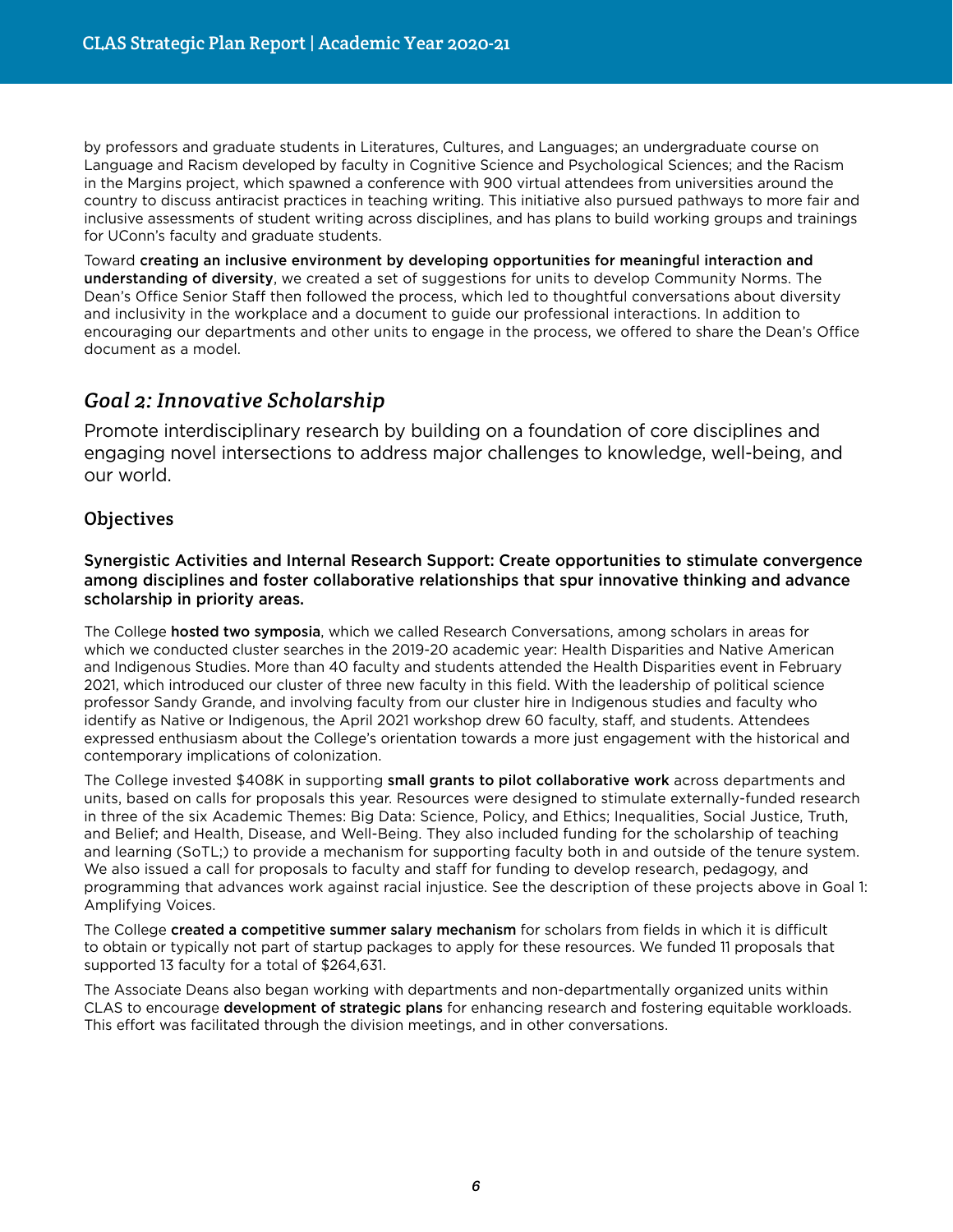by professors and graduate students in Literatures, Cultures, and Languages; an undergraduate course on Language and Racism developed by faculty in Cognitive Science and Psychological Sciences; and the Racism in the Margins project, which spawned a conference with 900 virtual attendees from universities around the country to discuss antiracist practices in teaching writing. This initiative also pursued pathways to more fair and inclusive assessments of student writing across disciplines, and has plans to build working groups and trainings for UConn's faculty and graduate students.

Toward creating an inclusive environment by developing opportunities for meaningful interaction and understanding of diversity, we created a set of suggestions for units to develop Community Norms. The Dean's Office Senior Staff then followed the process, which led to thoughtful conversations about diversity and inclusivity in the workplace and a document to guide our professional interactions. In addition to encouraging our departments and other units to engage in the process, we offered to share the Dean's Office document as a model.

# *Goal 2: Innovative Scholarship*

Promote interdisciplinary research by building on a foundation of core disciplines and engaging novel intersections to address major challenges to knowledge, well-being, and our world.

## **Objectives**

Synergistic Activities and Internal Research Support: Create opportunities to stimulate convergence among disciplines and foster collaborative relationships that spur innovative thinking and advance scholarship in priority areas.

The College **hosted two symposia**, which we called Research Conversations, among scholars in areas for which we conducted cluster searches in the 2019-20 academic year: Health Disparities and Native American and Indigenous Studies. More than 40 faculty and students attended the Health Disparities event in February 2021, which introduced our cluster of three new faculty in this field. With the leadership of political science professor Sandy Grande, and involving faculty from our cluster hire in Indigenous studies and faculty who identify as Native or Indigenous, the April 2021 workshop drew 60 faculty, staff, and students. Attendees expressed enthusiasm about the College's orientation towards a more just engagement with the historical and contemporary implications of colonization.

The College invested \$408K in supporting small grants to pilot collaborative work across departments and units, based on calls for proposals this year. Resources were designed to stimulate externally-funded research in three of the six Academic Themes: Big Data: Science, Policy, and Ethics; Inequalities, Social Justice, Truth, and Belief; and Health, Disease, and Well-Being. They also included funding for the scholarship of teaching and learning (SoTL;) to provide a mechanism for supporting faculty both in and outside of the tenure system. We also issued a call for proposals to faculty and staff for funding to develop research, pedagogy, and programming that advances work against racial injustice. See the description of these projects above in Goal 1: Amplifying Voices.

The College created a competitive summer salary mechanism for scholars from fields in which it is difficult to obtain or typically not part of startup packages to apply for these resources. We funded 11 proposals that supported 13 faculty for a total of \$264,631.

The Associate Deans also began working with departments and non-departmentally organized units within CLAS to encourage development of strategic plans for enhancing research and fostering equitable workloads. This effort was facilitated through the division meetings, and in other conversations.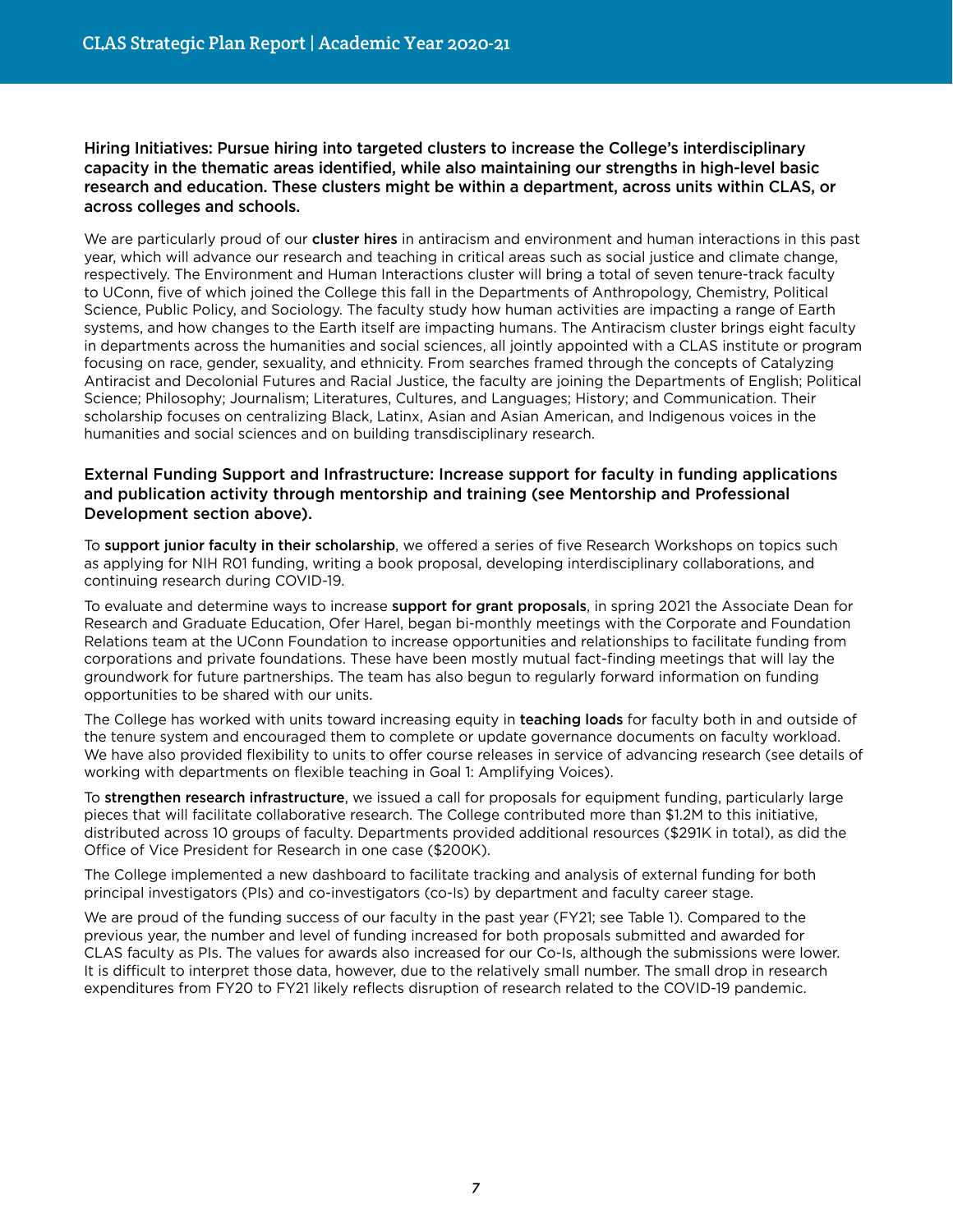Hiring Initiatives: Pursue hiring into targeted clusters to increase the College's interdisciplinary capacity in the thematic areas identified, while also maintaining our strengths in high-level basic research and education. These clusters might be within a department, across units within CLAS, or across colleges and schools.

We are particularly proud of our cluster hires in antiracism and environment and human interactions in this past year, which will advance our research and teaching in critical areas such as social justice and climate change, respectively. The Environment and Human Interactions cluster will bring a total of seven tenure-track faculty to UConn, five of which joined the College this fall in the Departments of Anthropology, Chemistry, Political Science, Public Policy, and Sociology. The faculty study how human activities are impacting a range of Earth systems, and how changes to the Earth itself are impacting humans. The Antiracism cluster brings eight faculty in departments across the humanities and social sciences, all jointly appointed with a CLAS institute or program focusing on race, gender, sexuality, and ethnicity. From searches framed through the concepts of Catalyzing Antiracist and Decolonial Futures and Racial Justice, the faculty are joining the Departments of English; Political Science; Philosophy; Journalism; Literatures, Cultures, and Languages; History; and Communication. Their scholarship focuses on centralizing Black, Latinx, Asian and Asian American, and Indigenous voices in the humanities and social sciences and on building transdisciplinary research.

#### External Funding Support and Infrastructure: Increase support for faculty in funding applications and publication activity through mentorship and training (see Mentorship and Professional Development section above).

To support junior faculty in their scholarship, we offered a series of five Research Workshops on topics such as applying for NIH R01 funding, writing a book proposal, developing interdisciplinary collaborations, and continuing research during COVID-19.

To evaluate and determine ways to increase support for grant proposals, in spring 2021 the Associate Dean for Research and Graduate Education, Ofer Harel, began bi-monthly meetings with the Corporate and Foundation Relations team at the UConn Foundation to increase opportunities and relationships to facilitate funding from corporations and private foundations. These have been mostly mutual fact-finding meetings that will lay the groundwork for future partnerships. The team has also begun to regularly forward information on funding opportunities to be shared with our units.

The College has worked with units toward increasing equity in teaching loads for faculty both in and outside of the tenure system and encouraged them to complete or update governance documents on faculty workload. We have also provided flexibility to units to offer course releases in service of advancing research (see details of working with departments on flexible teaching in Goal 1: Amplifying Voices).

To strengthen research infrastructure, we issued a call for proposals for equipment funding, particularly large pieces that will facilitate collaborative research. The College contributed more than \$1.2M to this initiative, distributed across 10 groups of faculty. Departments provided additional resources (\$291K in total), as did the Office of Vice President for Research in one case (\$200K).

The College implemented a new dashboard to facilitate tracking and analysis of external funding for both principal investigators (PIs) and co-investigators (co-Is) by department and faculty career stage.

We are proud of the funding success of our faculty in the past year (FY21; see Table 1). Compared to the previous year, the number and level of funding increased for both proposals submitted and awarded for CLAS faculty as PIs. The values for awards also increased for our Co-Is, although the submissions were lower. It is difficult to interpret those data, however, due to the relatively small number. The small drop in research expenditures from FY20 to FY21 likely reflects disruption of research related to the COVID-19 pandemic.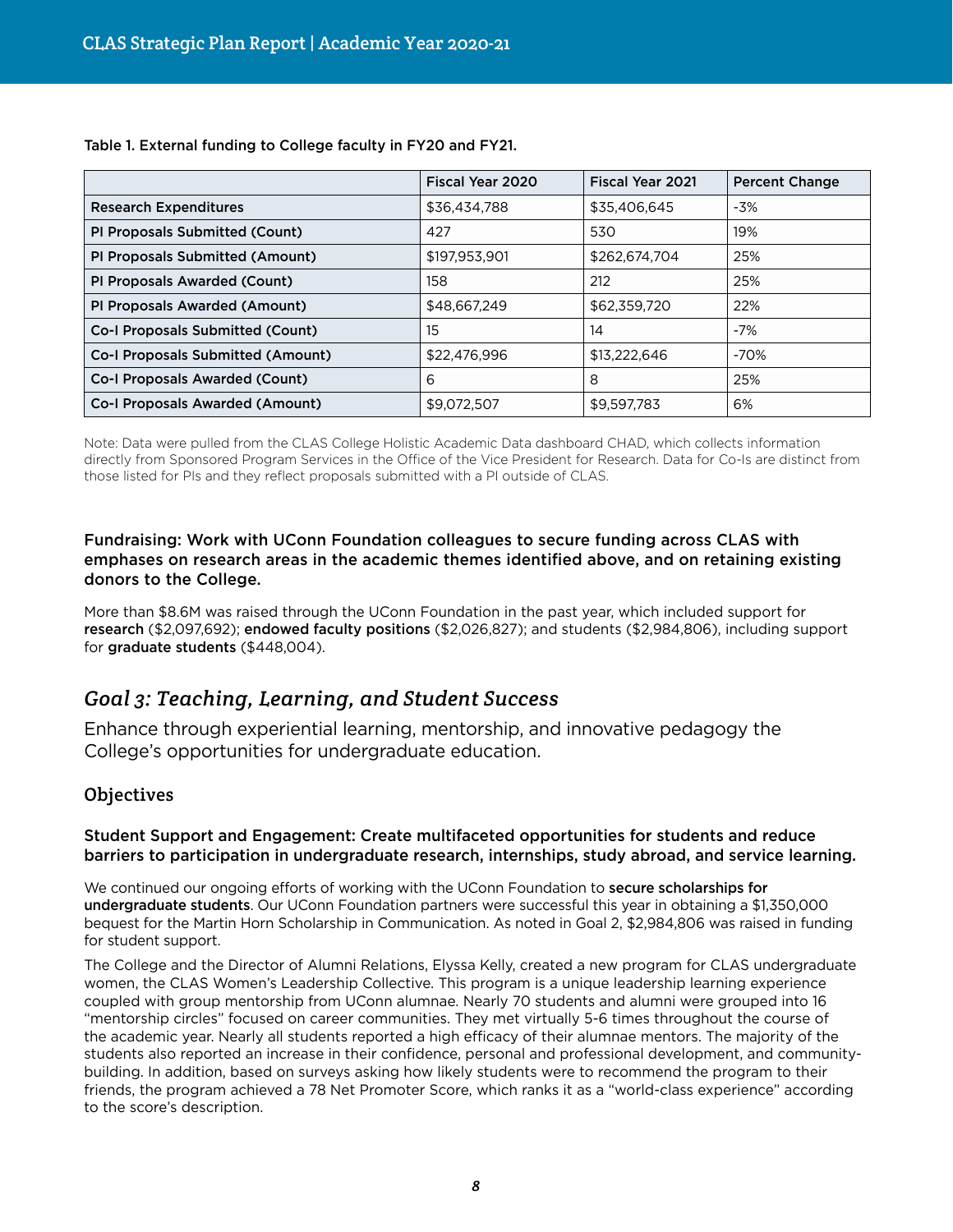|                                          | Fiscal Year 2020 | <b>Fiscal Year 2021</b> | <b>Percent Change</b> |
|------------------------------------------|------------------|-------------------------|-----------------------|
| <b>Research Expenditures</b>             | \$36,434,788     | \$35,406,645            | -3%                   |
| PI Proposals Submitted (Count)           | 427              | 530                     | 19%                   |
| PI Proposals Submitted (Amount)          | \$197,953,901    | \$262,674,704           | 25%                   |
| PI Proposals Awarded (Count)             | 158              | 212                     | 25%                   |
| PI Proposals Awarded (Amount)            | \$48,667,249     | \$62,359,720            | 22%                   |
| <b>Co-I Proposals Submitted (Count)</b>  | 15               | 14                      | $-7%$                 |
| <b>Co-I Proposals Submitted (Amount)</b> | \$22,476,996     | \$13,222,646            | $-70%$                |
| <b>Co-I Proposals Awarded (Count)</b>    | 6                | 8                       | 25%                   |
| <b>Co-I Proposals Awarded (Amount)</b>   | \$9,072,507      | \$9,597,783             | 6%                    |

Table 1. External funding to College faculty in FY20 and FY21.

Note: Data were pulled from the CLAS College Holistic Academic Data dashboard CHAD, which collects information directly from Sponsored Program Services in the Office of the Vice President for Research. Data for Co-Is are distinct from those listed for PIs and they reflect proposals submitted with a PI outside of CLAS.

#### Fundraising: Work with UConn Foundation colleagues to secure funding across CLAS with emphases on research areas in the academic themes identified above, and on retaining existing donors to the College.

More than \$8.6M was raised through the UConn Foundation in the past year, which included support for research (\$2,097,692); endowed faculty positions (\$2,026,827); and students (\$2,984,806), including support for graduate students (\$448,004).

# *Goal 3: Teaching, Learning, and Student Success*

Enhance through experiential learning, mentorship, and innovative pedagogy the College's opportunities for undergraduate education.

## **Objectives**

#### Student Support and Engagement: Create multifaceted opportunities for students and reduce barriers to participation in undergraduate research, internships, study abroad, and service learning.

We continued our ongoing efforts of working with the UConn Foundation to secure scholarships for undergraduate students. Our UConn Foundation partners were successful this year in obtaining a \$1,350,000 bequest for the Martin Horn Scholarship in Communication. As noted in Goal 2, \$2,984,806 was raised in funding for student support.

The College and the Director of Alumni Relations, Elyssa Kelly, created a new program for CLAS undergraduate women, the CLAS Women's Leadership Collective. This program is a unique leadership learning experience coupled with group mentorship from UConn alumnae. Nearly 70 students and alumni were grouped into 16 "mentorship circles" focused on career communities. They met virtually 5-6 times throughout the course of the academic year. Nearly all students reported a high efficacy of their alumnae mentors. The majority of the students also reported an increase in their confidence, personal and professional development, and communitybuilding. In addition, based on surveys asking how likely students were to recommend the program to their friends, the program achieved a 78 Net Promoter Score, which ranks it as a "world-class experience" according to the score's description.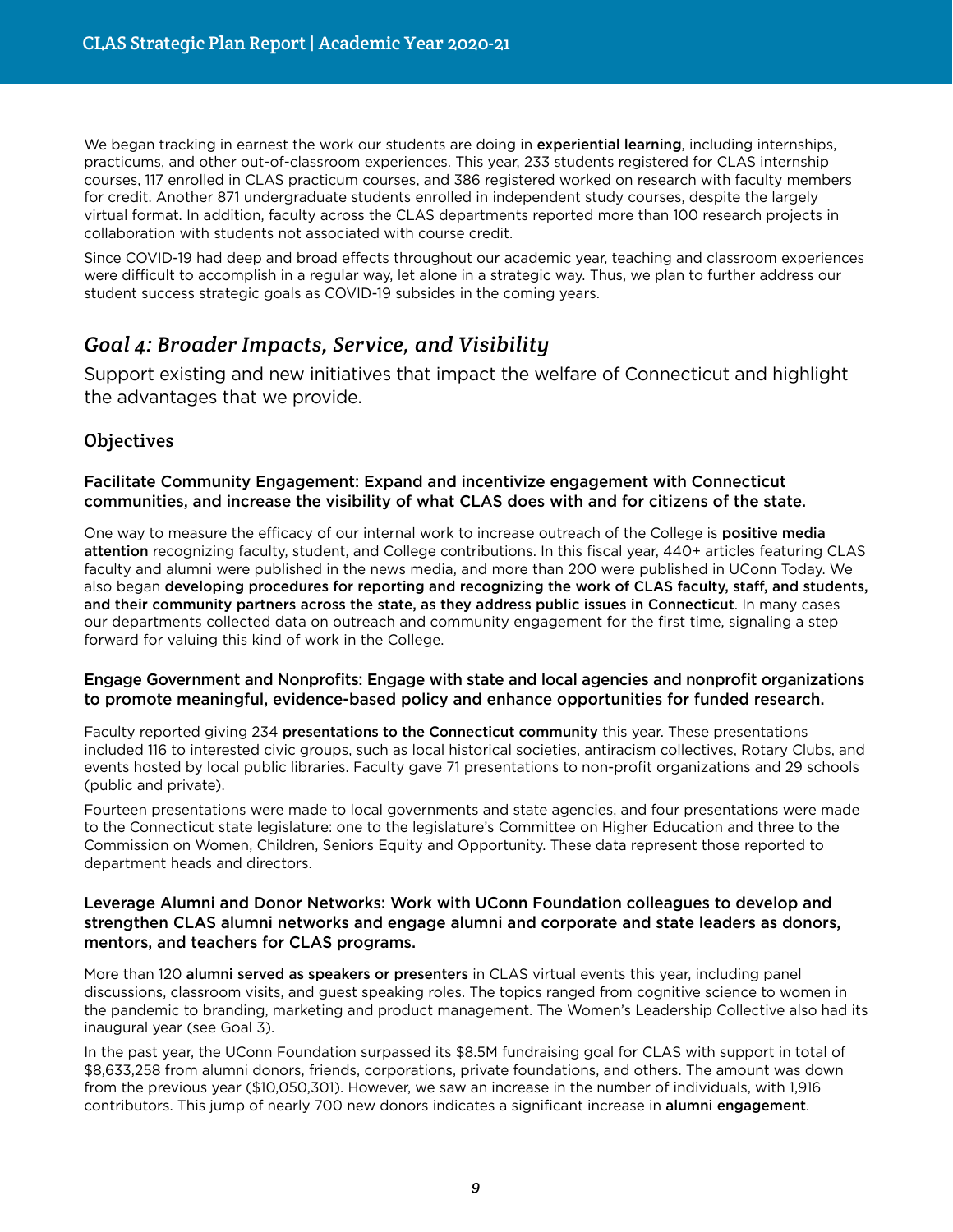We began tracking in earnest the work our students are doing in experiential learning, including internships, practicums, and other out-of-classroom experiences. This year, 233 students registered for CLAS internship courses, 117 enrolled in CLAS practicum courses, and 386 registered worked on research with faculty members for credit. Another 871 undergraduate students enrolled in independent study courses, despite the largely virtual format. In addition, faculty across the CLAS departments reported more than 100 research projects in collaboration with students not associated with course credit.

Since COVID-19 had deep and broad effects throughout our academic year, teaching and classroom experiences were difficult to accomplish in a regular way, let alone in a strategic way. Thus, we plan to further address our student success strategic goals as COVID-19 subsides in the coming years.

# *Goal 4: Broader Impacts, Service, and Visibility*

Support existing and new initiatives that impact the welfare of Connecticut and highlight the advantages that we provide.

## **Objectives**

#### Facilitate Community Engagement: Expand and incentivize engagement with Connecticut communities, and increase the visibility of what CLAS does with and for citizens of the state.

One way to measure the efficacy of our internal work to increase outreach of the College is positive media attention recognizing faculty, student, and College contributions. In this fiscal year, 440+ articles featuring CLAS faculty and alumni were published in the news media, and more than 200 were published in UConn Today. We also began developing procedures for reporting and recognizing the work of CLAS faculty, staff, and students, and their community partners across the state, as they address public issues in Connecticut. In many cases our departments collected data on outreach and community engagement for the first time, signaling a step forward for valuing this kind of work in the College.

#### Engage Government and Nonprofits: Engage with state and local agencies and nonprofit organizations to promote meaningful, evidence-based policy and enhance opportunities for funded research.

Faculty reported giving 234 presentations to the Connecticut community this year. These presentations included 116 to interested civic groups, such as local historical societies, antiracism collectives, Rotary Clubs, and events hosted by local public libraries. Faculty gave 71 presentations to non-profit organizations and 29 schools (public and private).

Fourteen presentations were made to local governments and state agencies, and four presentations were made to the Connecticut state legislature: one to the legislature's Committee on Higher Education and three to the Commission on Women, Children, Seniors Equity and Opportunity. These data represent those reported to department heads and directors.

#### Leverage Alumni and Donor Networks: Work with UConn Foundation colleagues to develop and strengthen CLAS alumni networks and engage alumni and corporate and state leaders as donors, mentors, and teachers for CLAS programs.

More than 120 alumni served as speakers or presenters in CLAS virtual events this year, including panel discussions, classroom visits, and guest speaking roles. The topics ranged from cognitive science to women in the pandemic to branding, marketing and product management. The Women's Leadership Collective also had its inaugural year (see Goal 3).

In the past year, the UConn Foundation surpassed its \$8.5M fundraising goal for CLAS with support in total of \$8,633,258 from alumni donors, friends, corporations, private foundations, and others. The amount was down from the previous year (\$10,050,301). However, we saw an increase in the number of individuals, with 1,916 contributors. This jump of nearly 700 new donors indicates a significant increase in alumni engagement.